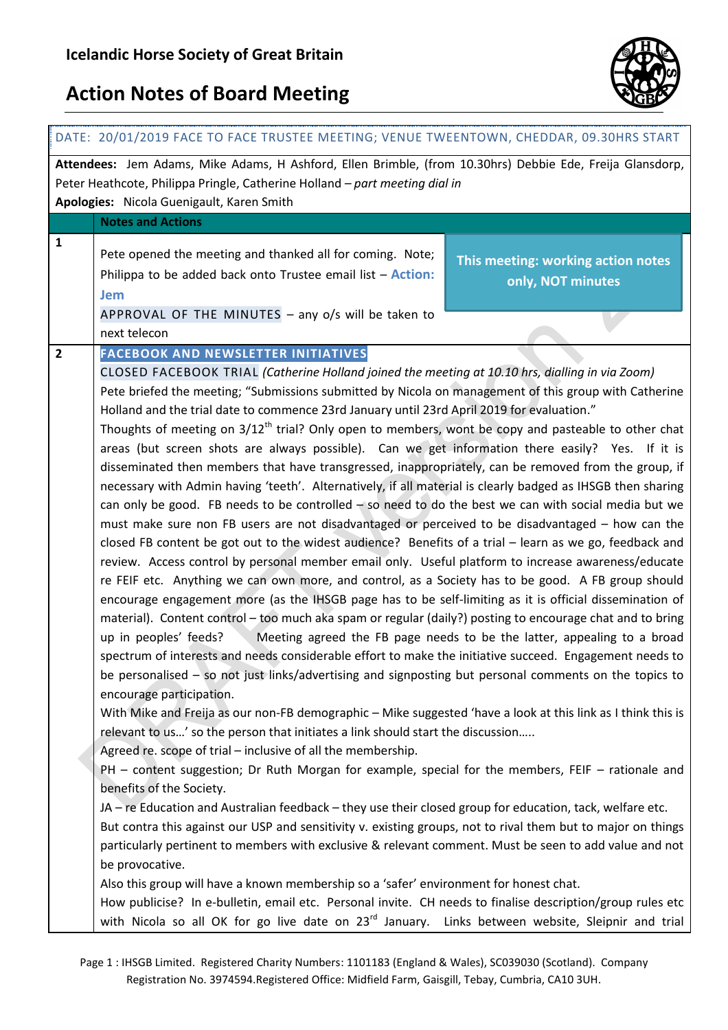

| DATE: 20/01/2019 FACE TO FACE TRUSTEE MEETING; VENUE TWEENTOWN, CHEDDAR, 09.30HRS START                                                                                                                                               |                                                                                                                                                                                                                                                                                                                                                                                                                                                                                                                                                                                                                                                                                                                                                                                                                                                                                                                                                                                                                                                                                                                                                                                                                                                                                                                                                                                                                                                                                                                                                                                                                                                                                                                                                                                                                                                                                                                                                                                                                                                                                                                                                                                                                                                                                                                                                                                                                                                                                                                                                                                                                                                                                                                                                                                                                                                                                                                                    |                                                                         |
|---------------------------------------------------------------------------------------------------------------------------------------------------------------------------------------------------------------------------------------|------------------------------------------------------------------------------------------------------------------------------------------------------------------------------------------------------------------------------------------------------------------------------------------------------------------------------------------------------------------------------------------------------------------------------------------------------------------------------------------------------------------------------------------------------------------------------------------------------------------------------------------------------------------------------------------------------------------------------------------------------------------------------------------------------------------------------------------------------------------------------------------------------------------------------------------------------------------------------------------------------------------------------------------------------------------------------------------------------------------------------------------------------------------------------------------------------------------------------------------------------------------------------------------------------------------------------------------------------------------------------------------------------------------------------------------------------------------------------------------------------------------------------------------------------------------------------------------------------------------------------------------------------------------------------------------------------------------------------------------------------------------------------------------------------------------------------------------------------------------------------------------------------------------------------------------------------------------------------------------------------------------------------------------------------------------------------------------------------------------------------------------------------------------------------------------------------------------------------------------------------------------------------------------------------------------------------------------------------------------------------------------------------------------------------------------------------------------------------------------------------------------------------------------------------------------------------------------------------------------------------------------------------------------------------------------------------------------------------------------------------------------------------------------------------------------------------------------------------------------------------------------------------------------------------------|-------------------------------------------------------------------------|
| Attendees: Jem Adams, Mike Adams, H Ashford, Ellen Brimble, (from 10.30hrs) Debbie Ede, Freija Glansdorp,<br>Peter Heathcote, Philippa Pringle, Catherine Holland - part meeting dial in<br>Apologies: Nicola Guenigault, Karen Smith |                                                                                                                                                                                                                                                                                                                                                                                                                                                                                                                                                                                                                                                                                                                                                                                                                                                                                                                                                                                                                                                                                                                                                                                                                                                                                                                                                                                                                                                                                                                                                                                                                                                                                                                                                                                                                                                                                                                                                                                                                                                                                                                                                                                                                                                                                                                                                                                                                                                                                                                                                                                                                                                                                                                                                                                                                                                                                                                                    |                                                                         |
|                                                                                                                                                                                                                                       | <b>Notes and Actions</b>                                                                                                                                                                                                                                                                                                                                                                                                                                                                                                                                                                                                                                                                                                                                                                                                                                                                                                                                                                                                                                                                                                                                                                                                                                                                                                                                                                                                                                                                                                                                                                                                                                                                                                                                                                                                                                                                                                                                                                                                                                                                                                                                                                                                                                                                                                                                                                                                                                                                                                                                                                                                                                                                                                                                                                                                                                                                                                           |                                                                         |
| 1                                                                                                                                                                                                                                     | Pete opened the meeting and thanked all for coming. Note;<br>Philippa to be added back onto Trustee email list - Action:<br><b>Jem</b><br>APPROVAL OF THE MINUTES - any o/s will be taken to<br>next telecon                                                                                                                                                                                                                                                                                                                                                                                                                                                                                                                                                                                                                                                                                                                                                                                                                                                                                                                                                                                                                                                                                                                                                                                                                                                                                                                                                                                                                                                                                                                                                                                                                                                                                                                                                                                                                                                                                                                                                                                                                                                                                                                                                                                                                                                                                                                                                                                                                                                                                                                                                                                                                                                                                                                       | This meeting: working action notes<br>only, NOT minutes                 |
| $\overline{\mathbf{2}}$                                                                                                                                                                                                               | <b>FACEBOOK AND NEWSLETTER INITIATIVES</b><br>CLOSED FACEBOOK TRIAL (Catherine Holland joined the meeting at 10.10 hrs, dialling in via Zoom)<br>Pete briefed the meeting; "Submissions submitted by Nicola on management of this group with Catherine<br>Holland and the trial date to commence 23rd January until 23rd April 2019 for evaluation."<br>Thoughts of meeting on 3/12 <sup>th</sup> trial? Only open to members, wont be copy and pasteable to other chat<br>areas (but screen shots are always possible). Can we get information there easily? Yes. If it is<br>disseminated then members that have transgressed, inappropriately, can be removed from the group, if<br>necessary with Admin having 'teeth'. Alternatively, if all material is clearly badged as IHSGB then sharing<br>can only be good. FB needs to be controlled $-$ so need to do the best we can with social media but we<br>must make sure non FB users are not disadvantaged or perceived to be disadvantaged – how can the<br>closed FB content be got out to the widest audience? Benefits of a trial - learn as we go, feedback and<br>review. Access control by personal member email only. Useful platform to increase awareness/educate<br>re FEIF etc. Anything we can own more, and control, as a Society has to be good. A FB group should<br>encourage engagement more (as the IHSGB page has to be self-limiting as it is official dissemination of<br>material). Content control - too much aka spam or regular (daily?) posting to encourage chat and to bring<br>up in peoples' feeds?<br>spectrum of interests and needs considerable effort to make the initiative succeed. Engagement needs to<br>be personalised - so not just links/advertising and signposting but personal comments on the topics to<br>encourage participation.<br>With Mike and Freija as our non-FB demographic - Mike suggested 'have a look at this link as I think this is<br>relevant to us' so the person that initiates a link should start the discussion<br>Agreed re. scope of trial - inclusive of all the membership.<br>PH - content suggestion; Dr Ruth Morgan for example, special for the members, FEIF - rationale and<br>benefits of the Society.<br>JA - re Education and Australian feedback - they use their closed group for education, tack, welfare etc.<br>But contra this against our USP and sensitivity v. existing groups, not to rival them but to major on things<br>particularly pertinent to members with exclusive & relevant comment. Must be seen to add value and not<br>be provocative.<br>Also this group will have a known membership so a 'safer' environment for honest chat.<br>How publicise? In e-bulletin, email etc. Personal invite. CH needs to finalise description/group rules etc<br>with Nicola so all OK for go live date on 23 <sup>rd</sup> January. Links between website, Sleipnir and trial | Meeting agreed the FB page needs to be the latter, appealing to a broad |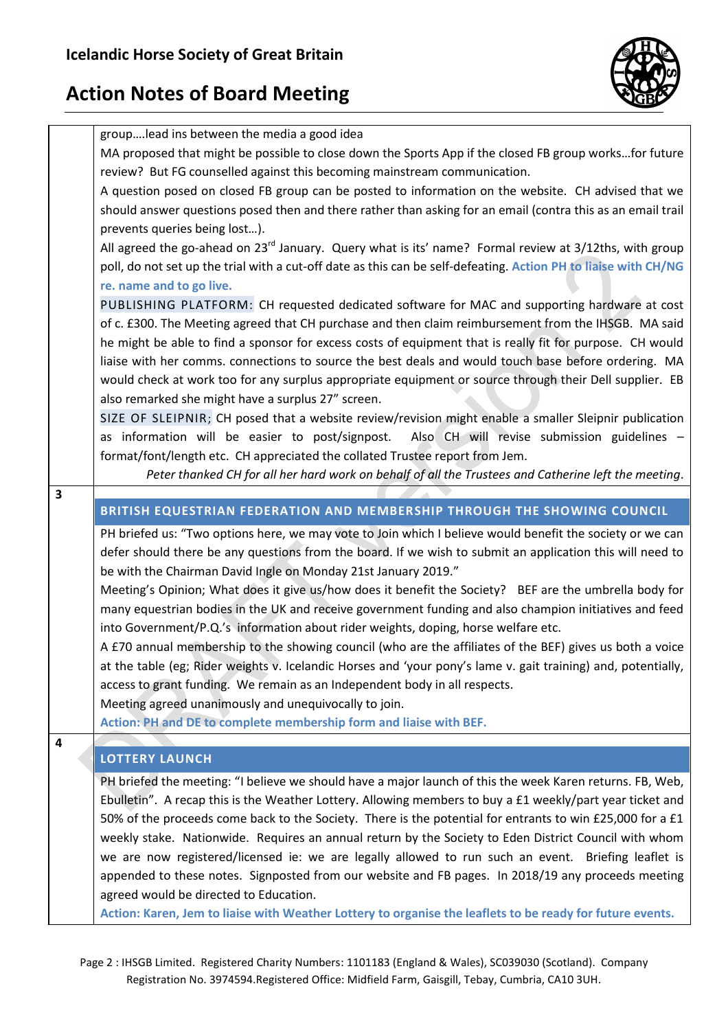

|                         | grouplead ins between the media a good idea                                                                        |
|-------------------------|--------------------------------------------------------------------------------------------------------------------|
|                         | MA proposed that might be possible to close down the Sports App if the closed FB group worksfor future             |
|                         | review? But FG counselled against this becoming mainstream communication.                                          |
|                         | A question posed on closed FB group can be posted to information on the website. CH advised that we                |
|                         | should answer questions posed then and there rather than asking for an email (contra this as an email trail        |
|                         | prevents queries being lost).                                                                                      |
|                         | All agreed the go-ahead on 23 <sup>rd</sup> January. Query what is its' name? Formal review at 3/12ths, with group |
|                         | poll, do not set up the trial with a cut-off date as this can be self-defeating. Action PH to liaise with CH/NG    |
|                         | re. name and to go live.                                                                                           |
|                         | PUBLISHING PLATFORM: CH requested dedicated software for MAC and supporting hardware at cost                       |
|                         | of c. £300. The Meeting agreed that CH purchase and then claim reimbursement from the IHSGB. MA said               |
|                         | he might be able to find a sponsor for excess costs of equipment that is really fit for purpose. CH would          |
|                         | liaise with her comms. connections to source the best deals and would touch base before ordering. MA               |
|                         | would check at work too for any surplus appropriate equipment or source through their Dell supplier. EB            |
|                         | also remarked she might have a surplus 27" screen.                                                                 |
|                         | SIZE OF SLEIPNIR; CH posed that a website review/revision might enable a smaller Sleipnir publication              |
|                         | Also CH will revise submission guidelines -<br>as information will be easier to post/signpost.                     |
|                         | format/font/length etc. CH appreciated the collated Trustee report from Jem.                                       |
|                         | Peter thanked CH for all her hard work on behalf of all the Trustees and Catherine left the meeting.               |
| $\overline{\mathbf{3}}$ |                                                                                                                    |
|                         | BRITISH EQUESTRIAN FEDERATION AND MEMBERSHIP THROUGH THE SHOWING COUNCIL                                           |
|                         |                                                                                                                    |
|                         |                                                                                                                    |
|                         | PH briefed us: "Two options here, we may vote to Join which I believe would benefit the society or we can          |
|                         | defer should there be any questions from the board. If we wish to submit an application this will need to          |
|                         | be with the Chairman David Ingle on Monday 21st January 2019."                                                     |
|                         | Meeting's Opinion; What does it give us/how does it benefit the Society? BEF are the umbrella body for             |
|                         | many equestrian bodies in the UK and receive government funding and also champion initiatives and feed             |
|                         | into Government/P.Q.'s information about rider weights, doping, horse welfare etc.                                 |
|                         | A £70 annual membership to the showing council (who are the affiliates of the BEF) gives us both a voice           |
|                         | at the table (eg; Rider weights v. Icelandic Horses and 'your pony's lame v. gait training) and, potentially,      |
|                         | access to grant funding. We remain as an Independent body in all respects.                                         |
|                         | Meeting agreed unanimously and unequivocally to join.                                                              |
|                         | Action: PH and DE to complete membership form and liaise with BEF.                                                 |
| $\overline{4}$          |                                                                                                                    |
|                         | <b>LOTTERY LAUNCH</b>                                                                                              |
|                         | PH briefed the meeting: "I believe we should have a major launch of this the week Karen returns. FB, Web,          |
|                         | Ebulletin". A recap this is the Weather Lottery. Allowing members to buy a £1 weekly/part year ticket and          |
|                         | 50% of the proceeds come back to the Society. There is the potential for entrants to win £25,000 for a £1          |
|                         | weekly stake. Nationwide. Requires an annual return by the Society to Eden District Council with whom              |
|                         | we are now registered/licensed ie: we are legally allowed to run such an event. Briefing leaflet is                |
|                         | appended to these notes. Signposted from our website and FB pages. In 2018/19 any proceeds meeting                 |
|                         | agreed would be directed to Education.                                                                             |
|                         | Action: Karen, Jem to liaise with Weather Lottery to organise the leaflets to be ready for future events.          |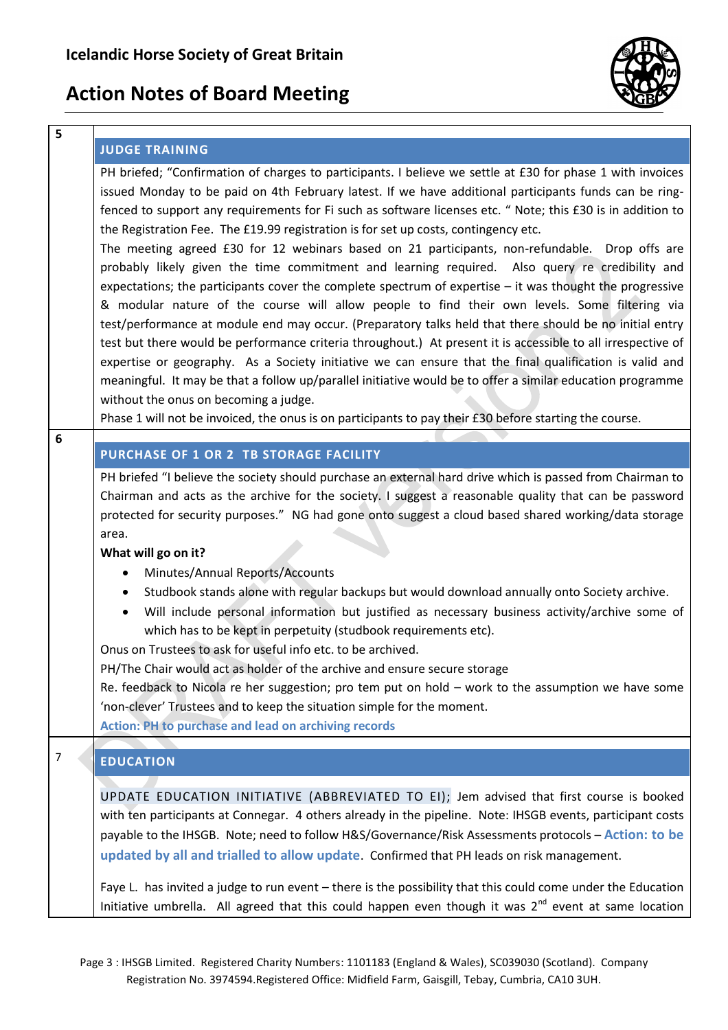

#### **JUDGE TRAINING**

PH briefed; "Confirmation of charges to participants. I believe we settle at £30 for phase 1 with invoices issued Monday to be paid on 4th February latest. If we have additional participants funds can be ringfenced to support any requirements for Fi such as software licenses etc. " Note; this £30 is in addition to the Registration Fee. The £19.99 registration is for set up costs, contingency etc.

The meeting agreed £30 for 12 webinars based on 21 participants, non-refundable. Drop offs are probably likely given the time commitment and learning required. Also query re credibility and expectations; the participants cover the complete spectrum of expertise – it was thought the progressive & modular nature of the course will allow people to find their own levels. Some filtering via test/performance at module end may occur. (Preparatory talks held that there should be no initial entry test but there would be performance criteria throughout.) At present it is accessible to all irrespective of expertise or geography. As a Society initiative we can ensure that the final qualification is valid and meaningful. It may be that a follow up/parallel initiative would be to offer a similar education programme without the onus on becoming a judge.

Phase 1 will not be invoiced, the onus is on participants to pay their £30 before starting the course.

| × | ۰, | ۰.<br>۰, |
|---|----|----------|
|   |    |          |

**5**

#### **PURCHASE OF 1 OR 2 TB STORAGE FACILITY**

PH briefed "I believe the society should purchase an external hard drive which is passed from Chairman to Chairman and acts as the archive for the society. I suggest a reasonable quality that can be password protected for security purposes." NG had gone onto suggest a cloud based shared working/data storage area.

#### **What will go on it?**

- Minutes/Annual Reports/Accounts
- Studbook stands alone with regular backups but would download annually onto Society archive.
- Will include personal information but justified as necessary business activity/archive some of which has to be kept in perpetuity (studbook requirements etc).

Onus on Trustees to ask for useful info etc. to be archived.

PH/The Chair would act as holder of the archive and ensure secure storage

Re. feedback to Nicola re her suggestion; pro tem put on hold – work to the assumption we have some 'non-clever' Trustees and to keep the situation simple for the moment.

**Action: PH to purchase and lead on archiving records**

### 7 **EDUCATION**

UPDATE EDUCATION INITIATIVE (ABBREVIATED TO EI); Jem advised that first course is booked with ten participants at Connegar. 4 others already in the pipeline. Note: IHSGB events, participant costs payable to the IHSGB. Note; need to follow H&S/Governance/Risk Assessments protocols – **Action: to be updated by all and trialled to allow update**. Confirmed that PH leads on risk management.

Faye L. has invited a judge to run event – there is the possibility that this could come under the Education Initiative umbrella. All agreed that this could happen even though it was  $2^{nd}$  event at same location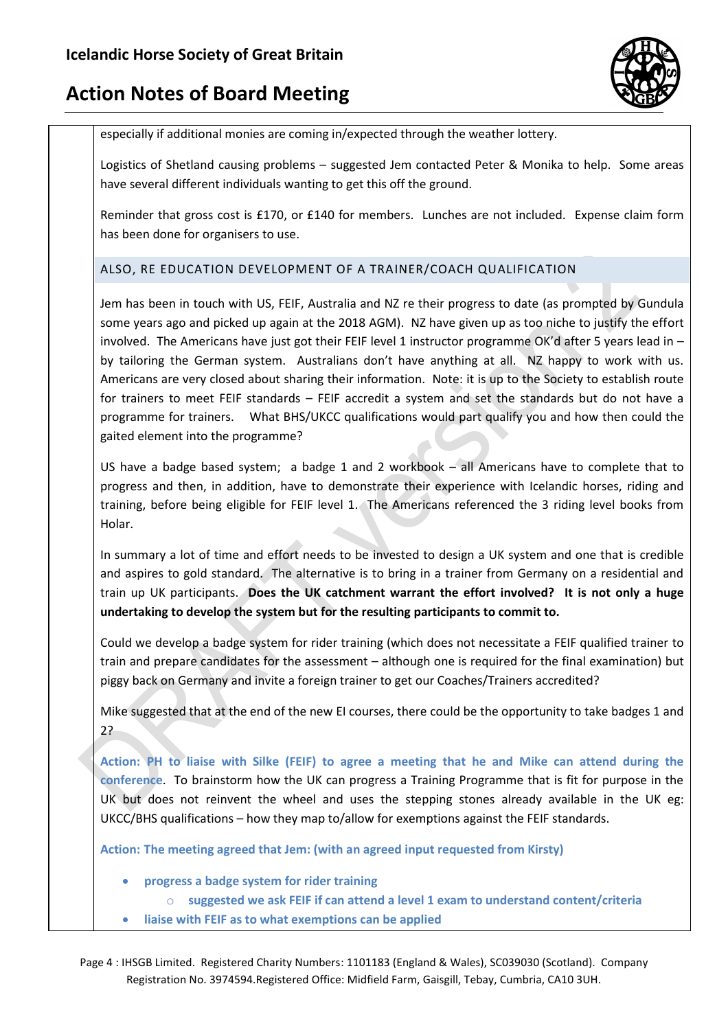

especially if additional monies are coming in/expected through the weather lottery.

Logistics of Shetland causing problems – suggested Jem contacted Peter & Monika to help. Some areas have several different individuals wanting to get this off the ground.

Reminder that gross cost is £170, or £140 for members. Lunches are not included. Expense claim form has been done for organisers to use.

### ALSO, RE EDUCATION DEVELOPMENT OF A TRAINER/COACH QUALIFICATION

Jem has been in touch with US, FEIF, Australia and NZ re their progress to date (as prompted by Gundula some years ago and picked up again at the 2018 AGM). NZ have given up as too niche to justify the effort involved. The Americans have just got their FEIF level 1 instructor programme OK'd after 5 years lead in by tailoring the German system. Australians don't have anything at all. NZ happy to work with us. Americans are very closed about sharing their information. Note: it is up to the Society to establish route for trainers to meet FEIF standards – FEIF accredit a system and set the standards but do not have a programme for trainers. What BHS/UKCC qualifications would part qualify you and how then could the gaited element into the programme?

US have a badge based system; a badge 1 and 2 workbook – all Americans have to complete that to progress and then, in addition, have to demonstrate their experience with Icelandic horses, riding and training, before being eligible for FEIF level 1. The Americans referenced the 3 riding level books from Holar.

In summary a lot of time and effort needs to be invested to design a UK system and one that is credible and aspires to gold standard. The alternative is to bring in a trainer from Germany on a residential and train up UK participants. **Does the UK catchment warrant the effort involved? It is not only a huge undertaking to develop the system but for the resulting participants to commit to.**

Could we develop a badge system for rider training (which does not necessitate a FEIF qualified trainer to train and prepare candidates for the assessment – although one is required for the final examination) but piggy back on Germany and invite a foreign trainer to get our Coaches/Trainers accredited?

Mike suggested that at the end of the new EI courses, there could be the opportunity to take badges 1 and 2?

**Action: PH to liaise with Silke (FEIF) to agree a meeting that he and Mike can attend during the conference**. To brainstorm how the UK can progress a Training Programme that is fit for purpose in the UK but does not reinvent the wheel and uses the stepping stones already available in the UK eg: UKCC/BHS qualifications – how they map to/allow for exemptions against the FEIF standards.

**Action: The meeting agreed that Jem: (with an agreed input requested from Kirsty)**

- **progress a badge system for rider training**
	- o **suggested we ask FEIF if can attend a level 1 exam to understand content/criteria**
- **liaise with FEIF as to what exemptions can be applied**

Page 4 : IHSGB Limited. Registered Charity Numbers: 1101183 (England & Wales), SC039030 (Scotland). Company Registration No. 3974594.Registered Office: Midfield Farm, Gaisgill, Tebay, Cumbria, CA10 3UH.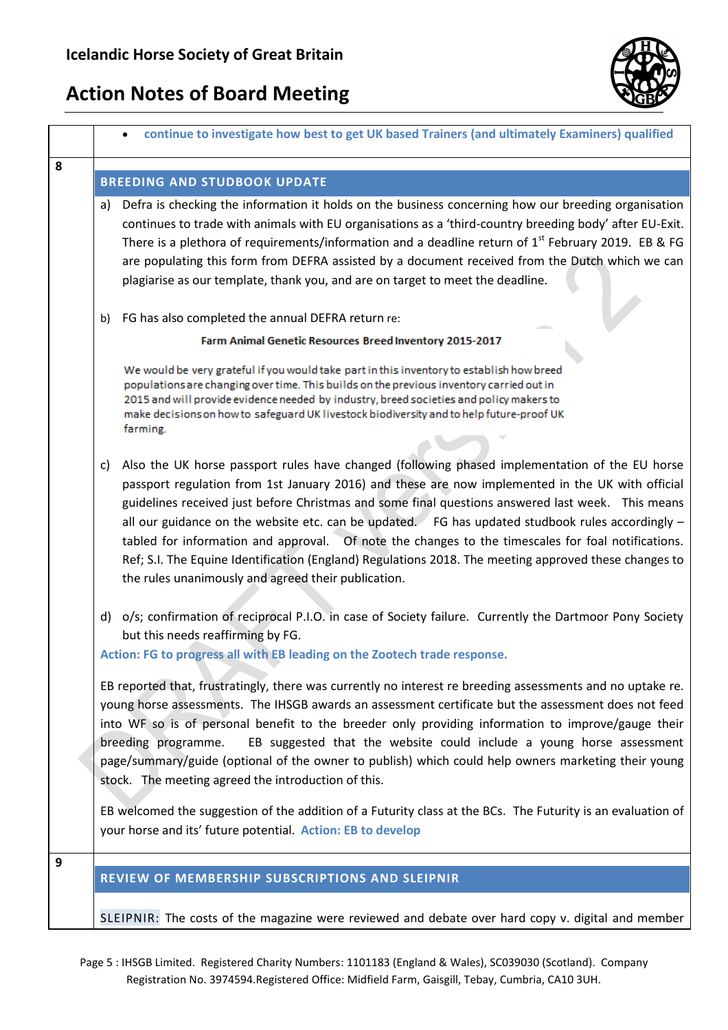

|   | continue to investigate how best to get UK based Trainers (and ultimately Examiners) qualified                                                                                                                                                                                                                                                                                                                                                                                                                                                                                                                                                                                             |  |
|---|--------------------------------------------------------------------------------------------------------------------------------------------------------------------------------------------------------------------------------------------------------------------------------------------------------------------------------------------------------------------------------------------------------------------------------------------------------------------------------------------------------------------------------------------------------------------------------------------------------------------------------------------------------------------------------------------|--|
| 8 |                                                                                                                                                                                                                                                                                                                                                                                                                                                                                                                                                                                                                                                                                            |  |
|   | <b>BREEDING AND STUDBOOK UPDATE</b>                                                                                                                                                                                                                                                                                                                                                                                                                                                                                                                                                                                                                                                        |  |
|   | Defra is checking the information it holds on the business concerning how our breeding organisation<br>a)<br>continues to trade with animals with EU organisations as a 'third-country breeding body' after EU-Exit.<br>There is a plethora of requirements/information and a deadline return of 1 <sup>st</sup> February 2019. EB & FG<br>are populating this form from DEFRA assisted by a document received from the Dutch which we can<br>plagiarise as our template, thank you, and are on target to meet the deadline.                                                                                                                                                               |  |
|   | FG has also completed the annual DEFRA return re:<br>b)                                                                                                                                                                                                                                                                                                                                                                                                                                                                                                                                                                                                                                    |  |
|   | Farm Animal Genetic Resources Breed Inventory 2015-2017                                                                                                                                                                                                                                                                                                                                                                                                                                                                                                                                                                                                                                    |  |
|   | We would be very grateful if you would take part in this inventory to establish how breed<br>populations are changing over time. This builds on the previous inventory carried out in<br>2015 and will provide evidence needed by industry, breed societies and policy makers to<br>make decisions on how to safeguard UK livestock biodiversity and to help future-proof UK<br>farming.                                                                                                                                                                                                                                                                                                   |  |
|   | Also the UK horse passport rules have changed (following phased implementation of the EU horse<br>C)<br>passport regulation from 1st January 2016) and these are now implemented in the UK with official<br>guidelines received just before Christmas and some final questions answered last week. This means<br>all our guidance on the website etc. can be updated. FG has updated studbook rules accordingly $-$<br>tabled for information and approval.  Of note the changes to the timescales for foal notifications.<br>Ref; S.I. The Equine Identification (England) Regulations 2018. The meeting approved these changes to<br>the rules unanimously and agreed their publication. |  |
|   | d) o/s; confirmation of reciprocal P.I.O. in case of Society failure. Currently the Dartmoor Pony Society<br>but this needs reaffirming by FG.<br>Action: FG to progress all with EB leading on the Zootech trade response.                                                                                                                                                                                                                                                                                                                                                                                                                                                                |  |
|   | EB reported that, frustratingly, there was currently no interest re breeding assessments and no uptake re.<br>young horse assessments. The IHSGB awards an assessment certificate but the assessment does not feed<br>into WF so is of personal benefit to the breeder only providing information to improve/gauge their<br>EB suggested that the website could include a young horse assessment<br>breeding programme.<br>page/summary/guide (optional of the owner to publish) which could help owners marketing their young<br>stock. The meeting agreed the introduction of this.                                                                                                      |  |
|   | EB welcomed the suggestion of the addition of a Futurity class at the BCs. The Futurity is an evaluation of<br>your horse and its' future potential. Action: EB to develop                                                                                                                                                                                                                                                                                                                                                                                                                                                                                                                 |  |
| 9 | REVIEW OF MEMBERSHIP SUBSCRIPTIONS AND SLEIPNIR                                                                                                                                                                                                                                                                                                                                                                                                                                                                                                                                                                                                                                            |  |
|   | SLEIPNIR: The costs of the magazine were reviewed and debate over hard copy v. digital and member                                                                                                                                                                                                                                                                                                                                                                                                                                                                                                                                                                                          |  |

Page 5 : IHSGB Limited. Registered Charity Numbers: 1101183 (England & Wales), SC039030 (Scotland). Company Registration No. 3974594.Registered Office: Midfield Farm, Gaisgill, Tebay, Cumbria, CA10 3UH.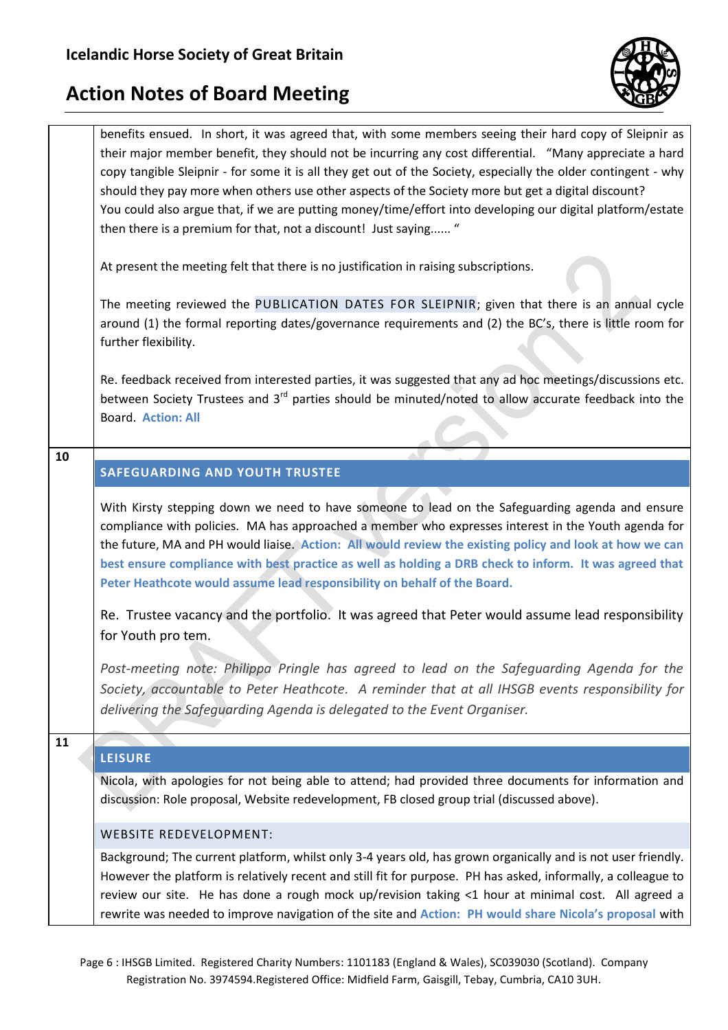



Page 6 : IHSGB Limited. Registered Charity Numbers: 1101183 (England & Wales), SC039030 (Scotland). Company Registration No. 3974594.Registered Office: Midfield Farm, Gaisgill, Tebay, Cumbria, CA10 3UH.

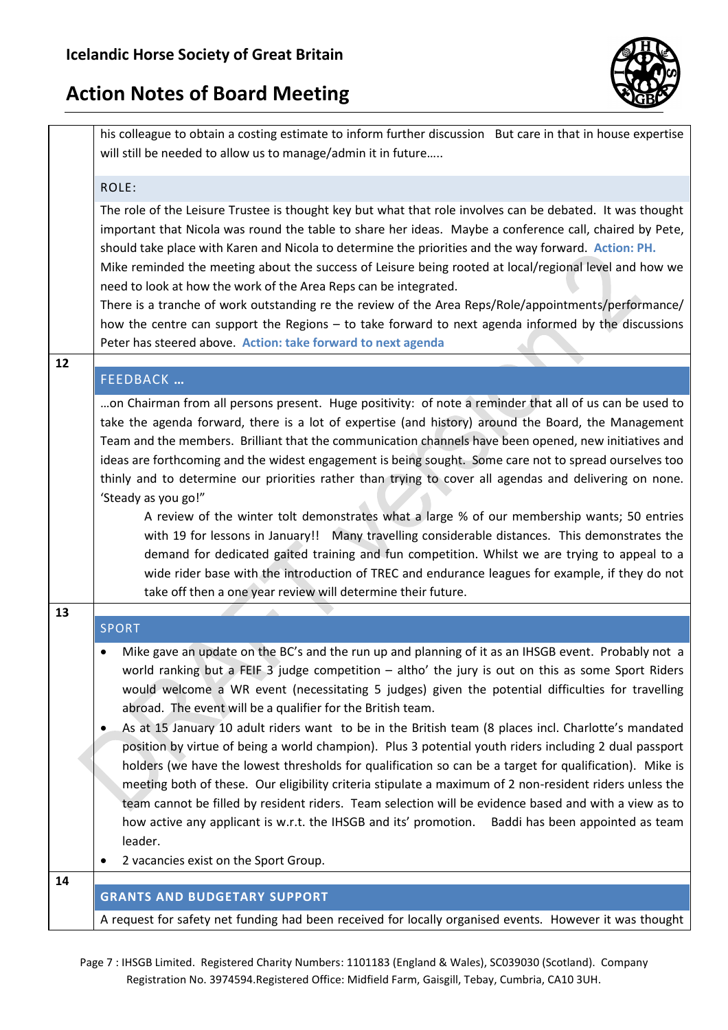

his colleague to obtain a costing estimate to inform further discussion But care in that in house expertise will still be needed to allow us to manage/admin it in future…..

### ROLE:

The role of the Leisure Trustee is thought key but what that role involves can be debated. It was thought important that Nicola was round the table to share her ideas. Maybe a conference call, chaired by Pete, should take place with Karen and Nicola to determine the priorities and the way forward. **Action: PH.** Mike reminded the meeting about the success of Leisure being rooted at local/regional level and how we need to look at how the work of the Area Reps can be integrated.

There is a tranche of work outstanding re the review of the Area Reps/Role/appointments/performance/ how the centre can support the Regions – to take forward to next agenda informed by the discussions Peter has steered above. **Action: take forward to next agenda**

### FEEDBACK **…**

**12**

…on Chairman from all persons present. Huge positivity: of note a reminder that all of us can be used to take the agenda forward, there is a lot of expertise (and history) around the Board, the Management Team and the members. Brilliant that the communication channels have been opened, new initiatives and ideas are forthcoming and the widest engagement is being sought. Some care not to spread ourselves too thinly and to determine our priorities rather than trying to cover all agendas and delivering on none. 'Steady as you go!"

A review of the winter tolt demonstrates what a large % of our membership wants; 50 entries with 19 for lessons in January!! Many travelling considerable distances. This demonstrates the demand for dedicated gaited training and fun competition. Whilst we are trying to appeal to a wide rider base with the introduction of TREC and endurance leagues for example, if they do not take off then a one year review will determine their future.

### **13** SPORT Mike gave an update on the BC's and the run up and planning of it as an IHSGB event. Probably not a world ranking but a FEIF 3 judge competition – altho' the jury is out on this as some Sport Riders would welcome a WR event (necessitating 5 judges) given the potential difficulties for travelling abroad. The event will be a qualifier for the British team. As at 15 January 10 adult riders want to be in the British team (8 places incl. Charlotte's mandated position by virtue of being a world champion). Plus 3 potential youth riders including 2 dual passport holders (we have the lowest thresholds for qualification so can be a target for qualification). Mike is meeting both of these. Our eligibility criteria stipulate a maximum of 2 non-resident riders unless the team cannot be filled by resident riders. Team selection will be evidence based and with a view as to how active any applicant is w.r.t. the IHSGB and its' promotion. Baddi has been appointed as team leader. 2 vacancies exist on the Sport Group. **14 GRANTS AND BUDGETARY SUPPORT**

A request for safety net funding had been received for locally organised events. However it was thought

Page 7 : IHSGB Limited. Registered Charity Numbers: 1101183 (England & Wales), SC039030 (Scotland). Company Registration No. 3974594.Registered Office: Midfield Farm, Gaisgill, Tebay, Cumbria, CA10 3UH.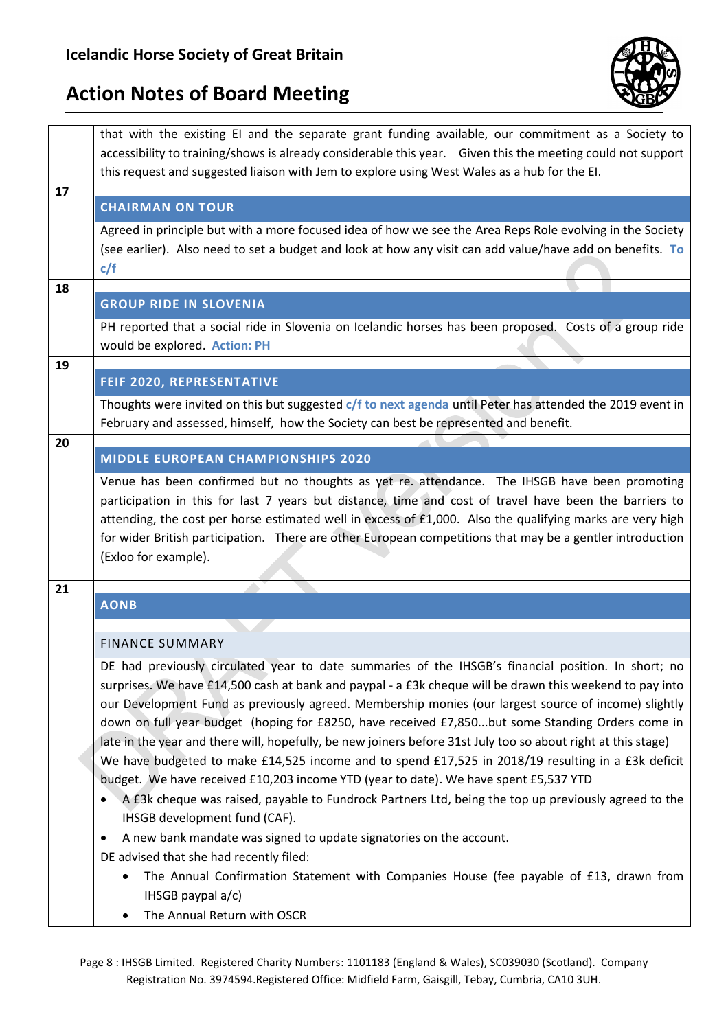

|    | that with the existing EI and the separate grant funding available, our commitment as a Society to<br>accessibility to training/shows is already considerable this year. Given this the meeting could not support<br>this request and suggested liaison with Jem to explore using West Wales as a hub for the EI.                                                                                                                                                                                                                                                                                                                                                                                                                                                                                                                                                                                                                                                                                          |
|----|------------------------------------------------------------------------------------------------------------------------------------------------------------------------------------------------------------------------------------------------------------------------------------------------------------------------------------------------------------------------------------------------------------------------------------------------------------------------------------------------------------------------------------------------------------------------------------------------------------------------------------------------------------------------------------------------------------------------------------------------------------------------------------------------------------------------------------------------------------------------------------------------------------------------------------------------------------------------------------------------------------|
| 17 |                                                                                                                                                                                                                                                                                                                                                                                                                                                                                                                                                                                                                                                                                                                                                                                                                                                                                                                                                                                                            |
|    | <b>CHAIRMAN ON TOUR</b>                                                                                                                                                                                                                                                                                                                                                                                                                                                                                                                                                                                                                                                                                                                                                                                                                                                                                                                                                                                    |
|    | Agreed in principle but with a more focused idea of how we see the Area Reps Role evolving in the Society<br>(see earlier). Also need to set a budget and look at how any visit can add value/have add on benefits. To<br>c/f                                                                                                                                                                                                                                                                                                                                                                                                                                                                                                                                                                                                                                                                                                                                                                              |
| 18 |                                                                                                                                                                                                                                                                                                                                                                                                                                                                                                                                                                                                                                                                                                                                                                                                                                                                                                                                                                                                            |
|    | <b>GROUP RIDE IN SLOVENIA</b>                                                                                                                                                                                                                                                                                                                                                                                                                                                                                                                                                                                                                                                                                                                                                                                                                                                                                                                                                                              |
|    | PH reported that a social ride in Slovenia on Icelandic horses has been proposed. Costs of a group ride                                                                                                                                                                                                                                                                                                                                                                                                                                                                                                                                                                                                                                                                                                                                                                                                                                                                                                    |
| 19 | would be explored. Action: PH                                                                                                                                                                                                                                                                                                                                                                                                                                                                                                                                                                                                                                                                                                                                                                                                                                                                                                                                                                              |
|    | <b>FEIF 2020, REPRESENTATIVE</b>                                                                                                                                                                                                                                                                                                                                                                                                                                                                                                                                                                                                                                                                                                                                                                                                                                                                                                                                                                           |
|    | Thoughts were invited on this but suggested c/f to next agenda until Peter has attended the 2019 event in                                                                                                                                                                                                                                                                                                                                                                                                                                                                                                                                                                                                                                                                                                                                                                                                                                                                                                  |
|    | February and assessed, himself, how the Society can best be represented and benefit.                                                                                                                                                                                                                                                                                                                                                                                                                                                                                                                                                                                                                                                                                                                                                                                                                                                                                                                       |
| 20 |                                                                                                                                                                                                                                                                                                                                                                                                                                                                                                                                                                                                                                                                                                                                                                                                                                                                                                                                                                                                            |
|    | <b>MIDDLE EUROPEAN CHAMPIONSHIPS 2020</b>                                                                                                                                                                                                                                                                                                                                                                                                                                                                                                                                                                                                                                                                                                                                                                                                                                                                                                                                                                  |
|    | Venue has been confirmed but no thoughts as yet re. attendance. The IHSGB have been promoting<br>participation in this for last 7 years but distance, time and cost of travel have been the barriers to<br>attending, the cost per horse estimated well in excess of £1,000. Also the qualifying marks are very high<br>for wider British participation. There are other European competitions that may be a gentler introduction<br>(Exloo for example).                                                                                                                                                                                                                                                                                                                                                                                                                                                                                                                                                  |
| 21 |                                                                                                                                                                                                                                                                                                                                                                                                                                                                                                                                                                                                                                                                                                                                                                                                                                                                                                                                                                                                            |
|    | <b>AONB</b>                                                                                                                                                                                                                                                                                                                                                                                                                                                                                                                                                                                                                                                                                                                                                                                                                                                                                                                                                                                                |
|    | <b>FINANCE SUMMARY</b>                                                                                                                                                                                                                                                                                                                                                                                                                                                                                                                                                                                                                                                                                                                                                                                                                                                                                                                                                                                     |
|    | DE had previously circulated year to date summaries of the IHSGB's financial position. In short; no<br>surprises. We have £14,500 cash at bank and paypal - a £3k cheque will be drawn this weekend to pay into<br>our Development Fund as previously agreed. Membership monies (our largest source of income) slightly<br>down on full year budget (hoping for £8250, have received £7,850but some Standing Orders come in<br>late in the year and there will, hopefully, be new joiners before 31st July too so about right at this stage)<br>We have budgeted to make £14,525 income and to spend £17,525 in 2018/19 resulting in a £3k deficit<br>budget. We have received £10,203 income YTD (year to date). We have spent £5,537 YTD<br>A £3k cheque was raised, payable to Fundrock Partners Ltd, being the top up previously agreed to the<br>IHSGB development fund (CAF).<br>A new bank mandate was signed to update signatories on the account.<br>٠<br>DE advised that she had recently filed: |
|    | The Annual Confirmation Statement with Companies House (fee payable of £13, drawn from<br>IHSGB paypal $a/c$ )<br>The Annual Return with OSCR                                                                                                                                                                                                                                                                                                                                                                                                                                                                                                                                                                                                                                                                                                                                                                                                                                                              |

Page 8 : IHSGB Limited. Registered Charity Numbers: 1101183 (England & Wales), SC039030 (Scotland). Company Registration No. 3974594.Registered Office: Midfield Farm, Gaisgill, Tebay, Cumbria, CA10 3UH.